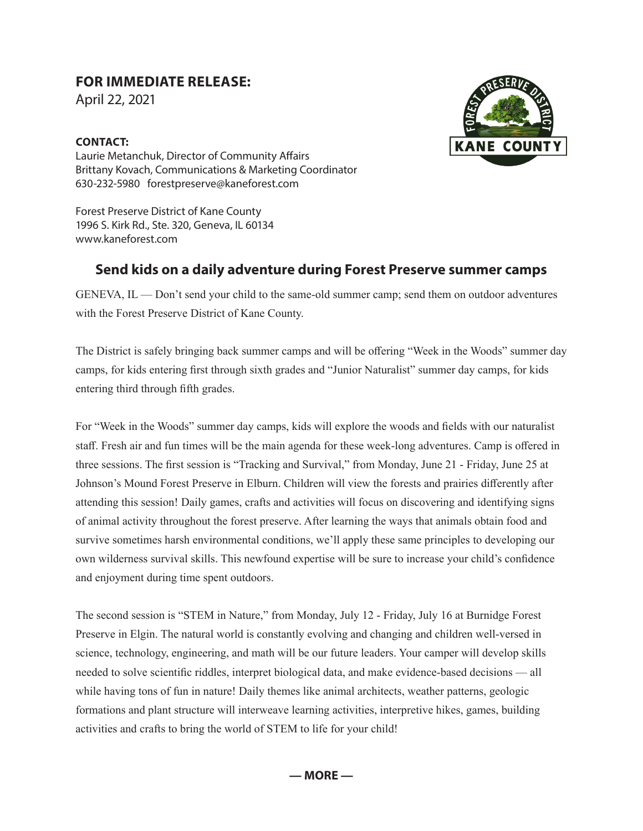## **FOR IMMEDIATE RELEASE:**

April 22, 2021

## **CONTACT:**



Laurie Metanchuk, Director of Community Affairs Brittany Kovach, Communications & Marketing Coordinator 630-232-5980 forestpreserve@kaneforest.com

Forest Preserve District of Kane County 1996 S. Kirk Rd., Ste. 320, Geneva, IL 60134 www.kaneforest.com

## **Send kids on a daily adventure during Forest Preserve summer camps**

GENEVA, IL — Don't send your child to the same-old summer camp; send them on outdoor adventures with the Forest Preserve District of Kane County.

The District is safely bringing back summer camps and will be offering "Week in the Woods" summer day camps, for kids entering first through sixth grades and "Junior Naturalist" summer day camps, for kids entering third through fifth grades.

For "Week in the Woods" summer day camps, kids will explore the woods and fields with our naturalist staff. Fresh air and fun times will be the main agenda for these week-long adventures. Camp is offered in three sessions. The first session is "Tracking and Survival," from Monday, June 21 - Friday, June 25 at Johnson's Mound Forest Preserve in Elburn. Children will view the forests and prairies differently after attending this session! Daily games, crafts and activities will focus on discovering and identifying signs of animal activity throughout the forest preserve. After learning the ways that animals obtain food and survive sometimes harsh environmental conditions, we'll apply these same principles to developing our own wilderness survival skills. This newfound expertise will be sure to increase your child's confidence and enjoyment during time spent outdoors.

The second session is "STEM in Nature," from Monday, July 12 - Friday, July 16 at Burnidge Forest Preserve in Elgin. The natural world is constantly evolving and changing and children well-versed in science, technology, engineering, and math will be our future leaders. Your camper will develop skills needed to solve scientific riddles, interpret biological data, and make evidence-based decisions — all while having tons of fun in nature! Daily themes like animal architects, weather patterns, geologic formations and plant structure will interweave learning activities, interpretive hikes, games, building activities and crafts to bring the world of STEM to life for your child!